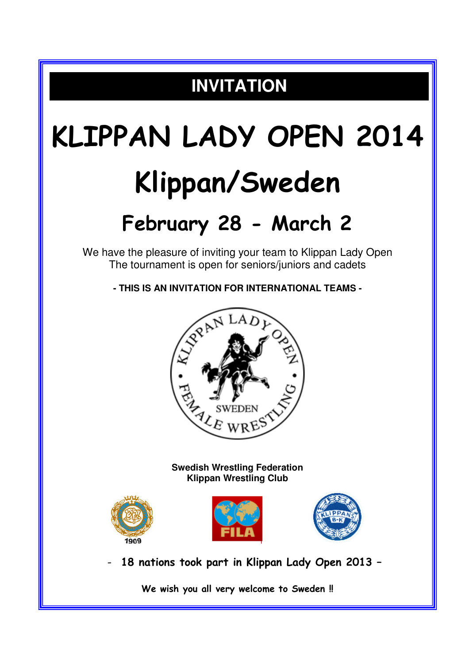## **INVITATION**

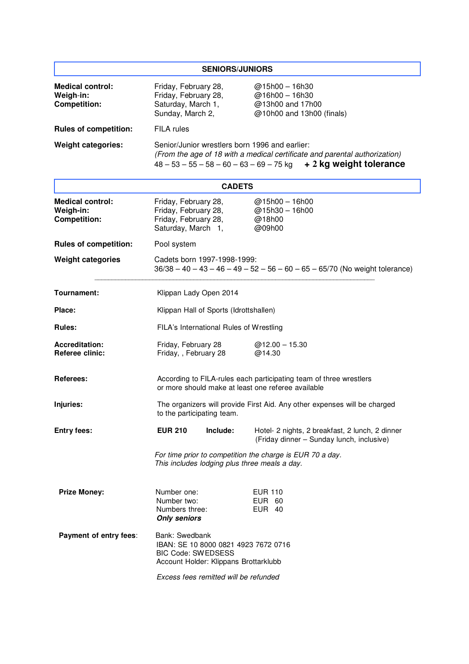| <b>SENIORS/JUNIORS</b>                                      |                                                                                                                                                                                                    |                                                                                                                          |                                                                                              |  |  |
|-------------------------------------------------------------|----------------------------------------------------------------------------------------------------------------------------------------------------------------------------------------------------|--------------------------------------------------------------------------------------------------------------------------|----------------------------------------------------------------------------------------------|--|--|
| <b>Medical control:</b><br>Weigh-in:<br><b>Competition:</b> | Friday, February 28,<br>Friday, February 28,<br>Saturday, March 1,<br>Sunday, March 2,                                                                                                             |                                                                                                                          | $@15h00 - 16h30$<br>@16h00 - 16h30<br>@13h00 and 17h00<br>@10h00 and 13h00 (finals)          |  |  |
| <b>Rules of competition:</b>                                | FILA rules                                                                                                                                                                                         |                                                                                                                          |                                                                                              |  |  |
| <b>Weight categories:</b>                                   | Senior/Junior wrestlers born 1996 and earlier:<br>(From the age of 18 with a medical certificate and parental authorization)<br>$48 - 53 - 55 - 58 - 60 - 63 - 69 - 75$ kg + 2 kg weight tolerance |                                                                                                                          |                                                                                              |  |  |
| <b>CADETS</b>                                               |                                                                                                                                                                                                    |                                                                                                                          |                                                                                              |  |  |
| <b>Medical control:</b><br>Weigh-in:<br><b>Competition:</b> | Friday, February 28,<br>Friday, February 28,<br>Friday, February 28,<br>Saturday, March 1,                                                                                                         |                                                                                                                          | @15h00 - 16h00<br>@15h30 - 16h00<br>@18h00<br>@09h00                                         |  |  |
| <b>Rules of competition:</b>                                | Pool system                                                                                                                                                                                        |                                                                                                                          |                                                                                              |  |  |
| <b>Weight categories</b>                                    | Cadets born 1997-1998-1999:<br>$36/38 - 40 - 43 - 46 - 49 - 52 - 56 - 60 - 65 - 65/70$ (No weight tolerance)                                                                                       |                                                                                                                          |                                                                                              |  |  |
| Tournament:                                                 | Klippan Lady Open 2014                                                                                                                                                                             |                                                                                                                          |                                                                                              |  |  |
| Place:                                                      | Klippan Hall of Sports (Idrottshallen)                                                                                                                                                             |                                                                                                                          |                                                                                              |  |  |
| <b>Rules:</b>                                               |                                                                                                                                                                                                    | FILA's International Rules of Wrestling                                                                                  |                                                                                              |  |  |
| <b>Accreditation:</b><br><b>Referee clinic:</b>             | Friday, February 28<br>Friday, , February 28                                                                                                                                                       |                                                                                                                          | $@12.00 - 15.30$<br>@14.30                                                                   |  |  |
| Referees:                                                   |                                                                                                                                                                                                    | According to FILA-rules each participating team of three wrestlers<br>or more should make at least one referee available |                                                                                              |  |  |
| Injuries:                                                   | The organizers will provide First Aid. Any other expenses will be charged<br>to the participating team.                                                                                            |                                                                                                                          |                                                                                              |  |  |
| <b>Entry fees:</b>                                          | <b>EUR 210</b>                                                                                                                                                                                     | Include:                                                                                                                 | Hotel- 2 nights, 2 breakfast, 2 lunch, 2 dinner<br>(Friday dinner - Sunday lunch, inclusive) |  |  |
|                                                             | For time prior to competition the charge is EUR 70 a day.<br>This includes lodging plus three meals a day.                                                                                         |                                                                                                                          |                                                                                              |  |  |
| <b>Prize Money:</b>                                         | Number one:<br>Number two:<br>Numbers three:<br><b>Only seniors</b>                                                                                                                                |                                                                                                                          | <b>EUR 110</b><br><b>EUR 60</b><br>EUR 40                                                    |  |  |
| Payment of entry fees:                                      | Bank: Swedbank<br>IBAN: SE 10 8000 0821 4923 7672 0716<br><b>BIC Code: SWEDSESS</b><br>Account Holder: Klippans Brottarklubb                                                                       |                                                                                                                          |                                                                                              |  |  |
|                                                             |                                                                                                                                                                                                    | Excess fees remitted will be refunded                                                                                    |                                                                                              |  |  |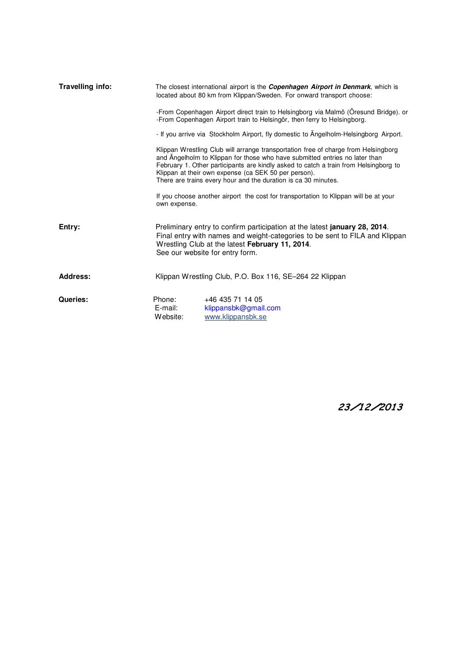| Travelling info: | The closest international airport is the <i>Copenhagen Airport in Denmark</i> , which is<br>located about 80 km from Klippan/Sweden. For onward transport choose:                                                                                                                                                                                                                   |  |  |  |  |
|------------------|-------------------------------------------------------------------------------------------------------------------------------------------------------------------------------------------------------------------------------------------------------------------------------------------------------------------------------------------------------------------------------------|--|--|--|--|
|                  | -From Copenhagen Airport direct train to Helsingborg via Malmö (Öresund Bridge). or<br>-From Copenhagen Airport train to Helsingör, then ferry to Helsingborg.                                                                                                                                                                                                                      |  |  |  |  |
|                  | - If you arrive via Stockholm Airport, fly domestic to Angelholm-Helsingborg Airport.                                                                                                                                                                                                                                                                                               |  |  |  |  |
|                  | Klippan Wrestling Club will arrange transportation free of charge from Helsingborg<br>and Angelholm to Klippan for those who have submitted entries no later than<br>February 1. Other participants are kindly asked to catch a train from Helsingborg to<br>Klippan at their own expense (ca SEK 50 per person).<br>There are trains every hour and the duration is ca 30 minutes. |  |  |  |  |
|                  | If you choose another airport the cost for transportation to Klippan will be at your<br>own expense.                                                                                                                                                                                                                                                                                |  |  |  |  |
| Entry:           | Preliminary entry to confirm participation at the latest <b>january 28, 2014</b> .<br>Final entry with names and weight-categories to be sent to FILA and Klippan<br>Wrestling Club at the latest February 11, 2014.<br>See our website for entry form.                                                                                                                             |  |  |  |  |
| <b>Address:</b>  | Klippan Wrestling Club, P.O. Box 116, SE-264 22 Klippan                                                                                                                                                                                                                                                                                                                             |  |  |  |  |
| Queries:         | Phone:<br>+46 435 71 14 05<br>E-mail:<br>klippansbk@gmail.com<br>Website:<br>www.klippansbk.se                                                                                                                                                                                                                                                                                      |  |  |  |  |

23/12/2013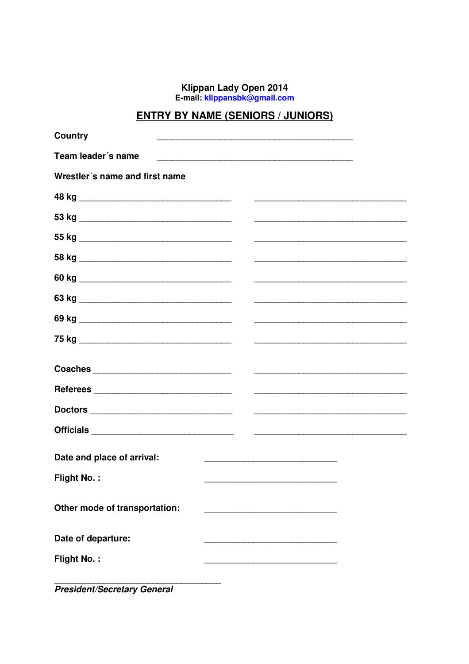Klippan Lady Open 2014<br>E-mail: klippansbk@gmail.com

## **ENTRY BY NAME (SENIORS / JUNIORS)**

| Country                        |                                                                                                                       |
|--------------------------------|-----------------------------------------------------------------------------------------------------------------------|
| Team leader's name             |                                                                                                                       |
| Wrestler's name and first name |                                                                                                                       |
|                                |                                                                                                                       |
|                                |                                                                                                                       |
|                                |                                                                                                                       |
|                                |                                                                                                                       |
|                                |                                                                                                                       |
|                                |                                                                                                                       |
|                                |                                                                                                                       |
|                                |                                                                                                                       |
|                                |                                                                                                                       |
|                                |                                                                                                                       |
|                                |                                                                                                                       |
|                                |                                                                                                                       |
|                                |                                                                                                                       |
| Date and place of arrival:     |                                                                                                                       |
|                                | <u> 1950 - Johann John Stoff, mars eta industrial eta industrial eta industrial eta industrial eta industrial eta</u> |
| <b>Flight No.:</b>             |                                                                                                                       |
| Other mode of transportation:  |                                                                                                                       |
|                                |                                                                                                                       |
| Date of departure:             |                                                                                                                       |
| <b>Flight No.:</b>             |                                                                                                                       |
|                                |                                                                                                                       |

**President/Secretary General**